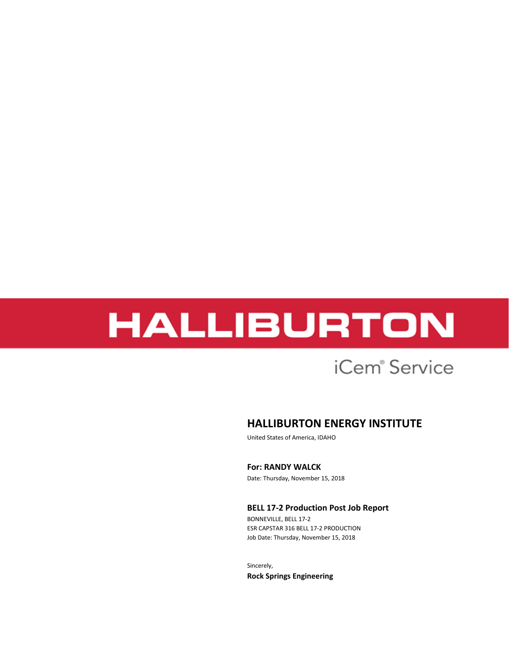## iCem<sup>®</sup> Service

## **HALLIBURTON ENERGY INSTITUTE**

United States of America, IDAHO

**For: RANDY WALCK**

Date: Thursday, November 15, 2018

#### **BELL 17-2 Production Post Job Report**

BONNEVILLE, BELL 17-2 ESR CAPSTAR 316 BELL 17-2 PRODUCTION Job Date: Thursday, November 15, 2018

Sincerely, **Rock Springs Engineering**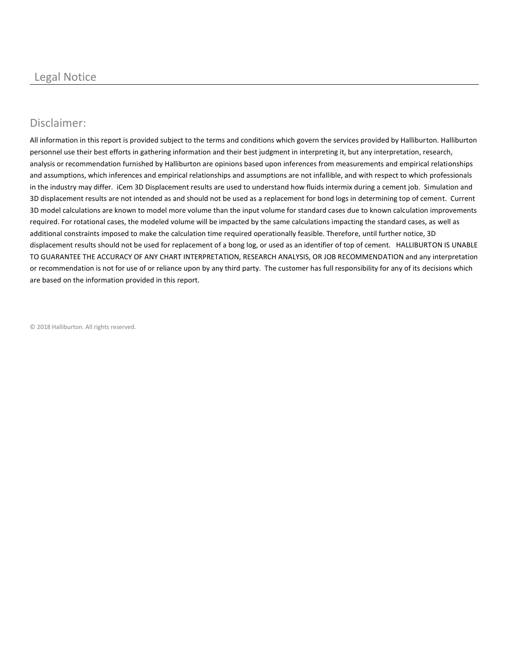## Disclaimer:

All information in this report is provided subject to the terms and conditions which govern the services provided by Halliburton. Halliburton personnel use their best efforts in gathering information and their best judgment in interpreting it, but any interpretation, research, analysis or recommendation furnished by Halliburton are opinions based upon inferences from measurements and empirical relationships and assumptions, which inferences and empirical relationships and assumptions are not infallible, and with respect to which professionals in the industry may differ. iCem 3D Displacement results are used to understand how fluids intermix during a cement job. Simulation and 3D displacement results are not intended as and should not be used as a replacement for bond logs in determining top of cement. Current 3D model calculations are known to model more volume than the input volume for standard cases due to known calculation improvements required. For rotational cases, the modeled volume will be impacted by the same calculations impacting the standard cases, as well as additional constraints imposed to make the calculation time required operationally feasible. Therefore, until further notice, 3D displacement results should not be used for replacement of a bong log, or used as an identifier of top of cement. HALLIBURTON IS UNABLE TO GUARANTEE THE ACCURACY OF ANY CHART INTERPRETATION, RESEARCH ANALYSIS, OR JOB RECOMMENDATION and any interpretation or recommendation is not for use of or reliance upon by any third party. The customer has full responsibility for any of its decisions which are based on the information provided in this report.

© 2018 Halliburton. All rights reserved.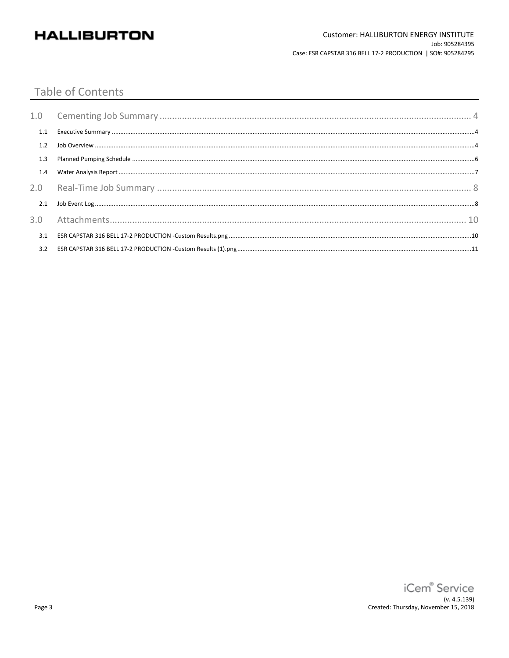#### **Table of Contents**

| 1.1 |  |
|-----|--|
| 1.2 |  |
| 1.3 |  |
| 1.4 |  |
|     |  |
| 2.1 |  |
|     |  |
| 3.1 |  |
| 3.2 |  |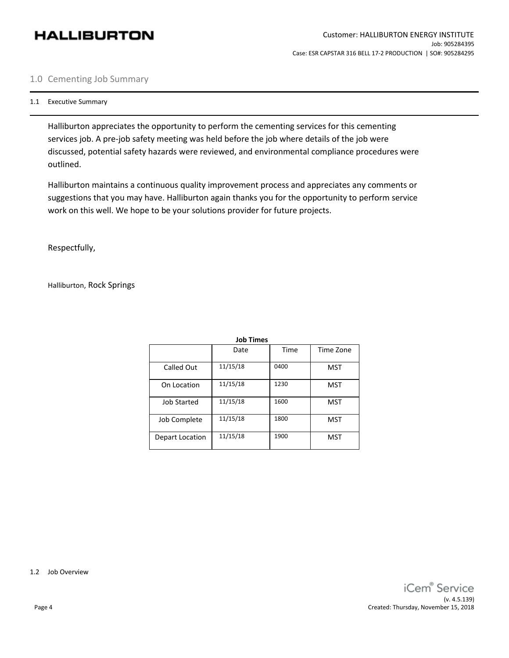#### 1.0 Cementing Job Summary

#### 1.1 Executive Summary

Halliburton appreciates the opportunity to perform the cementing services for this cementing services job. A pre-job safety meeting was held before the job where details of the job were discussed, potential safety hazards were reviewed, and environmental compliance procedures were outlined.

Halliburton maintains a continuous quality improvement process and appreciates any comments or suggestions that you may have. Halliburton again thanks you for the opportunity to perform service work on this well. We hope to be your solutions provider for future projects.

Respectfully,

Halliburton, Rock Springs

| JOD Times          |          |      |            |  |  |  |  |  |  |
|--------------------|----------|------|------------|--|--|--|--|--|--|
|                    | Date     | Time | Time Zone  |  |  |  |  |  |  |
| Called Out         | 11/15/18 | 0400 | <b>MST</b> |  |  |  |  |  |  |
| On Location        | 11/15/18 | 1230 | <b>MST</b> |  |  |  |  |  |  |
| <b>Job Started</b> | 11/15/18 | 1600 | <b>MST</b> |  |  |  |  |  |  |
| Job Complete       | 11/15/18 | 1800 | <b>MST</b> |  |  |  |  |  |  |
| Depart Location    | 11/15/18 | 1900 | <b>MST</b> |  |  |  |  |  |  |

**Job Times**

1.2 Job Overview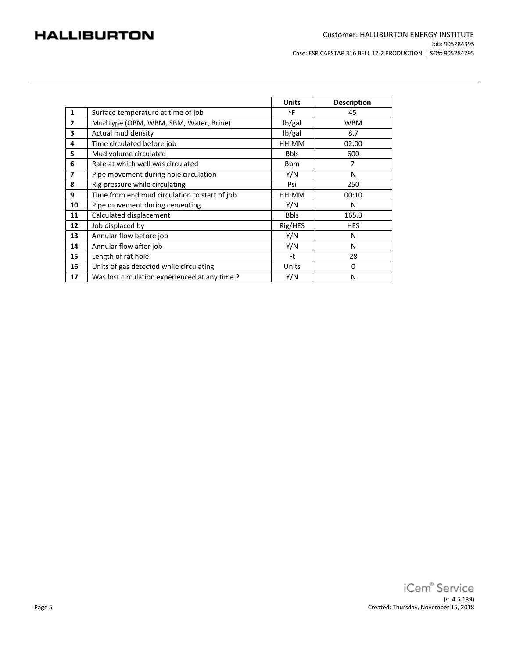|                         |                                               | <b>Units</b> | <b>Description</b> |
|-------------------------|-----------------------------------------------|--------------|--------------------|
| $\mathbf{1}$            | Surface temperature at time of job            | $^{\circ}$ F | 45                 |
| $\overline{2}$          | Mud type (OBM, WBM, SBM, Water, Brine)        | lb/gal       | <b>WBM</b>         |
| 3                       | Actual mud density                            | lb/gal       | 8.7                |
| 4                       | Time circulated before job                    | HH:MM        | 02:00              |
| 5                       | Mud volume circulated                         | <b>Bbls</b>  | 600                |
| 6                       | Rate at which well was circulated             | <b>Bpm</b>   | 7                  |
| $\overline{\mathbf{z}}$ | Pipe movement during hole circulation         | Y/N          | N                  |
| 8                       | Rig pressure while circulating                | Psi          | 250                |
| 9                       | Time from end mud circulation to start of job | HH:MM        | 00:10              |
| 10                      | Pipe movement during cementing                | Y/N          | N                  |
| 11                      | Calculated displacement                       | <b>Bbls</b>  | 165.3              |
| 12                      | Job displaced by                              | Rig/HES      | <b>HES</b>         |
| 13                      | Annular flow before job                       | Y/N          | N                  |
| 14                      | Annular flow after job                        | Y/N          | N                  |
| 15                      | Length of rat hole                            | Ft           | 28                 |
| 16                      | Units of gas detected while circulating       | Units        | 0                  |
| 17                      | Was lost circulation experienced at any time? | Y/N          | N                  |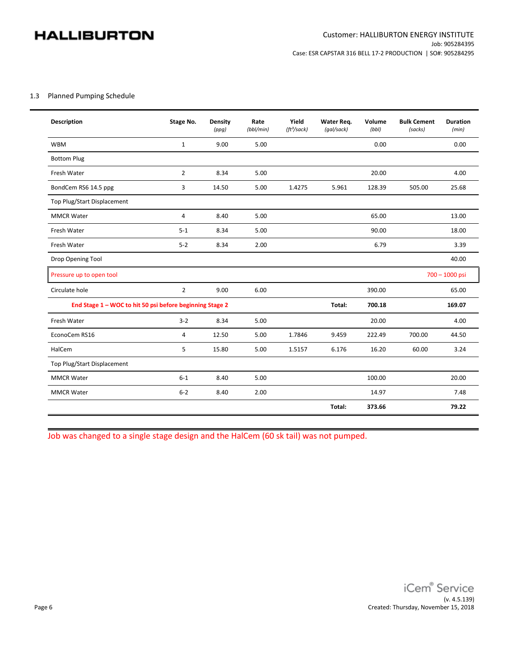#### 1.3 Planned Pumping Schedule

| <b>Description</b>                                       | Stage No.      | Density<br>(ppg) | Rate<br>$(bb$ l/min) | Yield<br>(ft <sup>3</sup> /sack) | Water Req.<br>(gal/sack) | Volume<br>(bb) | <b>Bulk Cement</b><br>(sacks) | <b>Duration</b><br>(min) |
|----------------------------------------------------------|----------------|------------------|----------------------|----------------------------------|--------------------------|----------------|-------------------------------|--------------------------|
| <b>WBM</b>                                               | $\mathbf{1}$   | 9.00             | 5.00                 |                                  |                          | 0.00           |                               | 0.00                     |
| <b>Bottom Plug</b>                                       |                |                  |                      |                                  |                          |                |                               |                          |
| Fresh Water                                              | $\overline{2}$ | 8.34             | 5.00                 |                                  |                          | 20.00          |                               | 4.00                     |
| BondCem RS6 14.5 ppg                                     | 3              | 14.50            | 5.00                 | 1.4275                           | 5.961                    | 128.39         | 505.00                        | 25.68                    |
| Top Plug/Start Displacement                              |                |                  |                      |                                  |                          |                |                               |                          |
| <b>MMCR Water</b>                                        | 4              | 8.40             | 5.00                 |                                  |                          | 65.00          |                               | 13.00                    |
| Fresh Water                                              | $5 - 1$        | 8.34             | 5.00                 |                                  |                          | 90.00          |                               | 18.00                    |
| Fresh Water                                              | $5 - 2$        | 8.34             | 2.00                 |                                  |                          | 6.79           |                               | 3.39                     |
| Drop Opening Tool                                        |                |                  |                      |                                  |                          |                |                               | 40.00                    |
| Pressure up to open tool                                 |                |                  |                      |                                  |                          |                |                               | 700 - 1000 psi           |
| Circulate hole                                           | $\overline{2}$ | 9.00             | 6.00                 |                                  |                          | 390.00         |                               | 65.00                    |
| End Stage 1 - WOC to hit 50 psi before beginning Stage 2 |                |                  |                      |                                  | Total:                   | 700.18         |                               | 169.07                   |
| Fresh Water                                              | $3 - 2$        | 8.34             | 5.00                 |                                  |                          | 20.00          |                               | 4.00                     |
| EconoCem RS16                                            | 4              | 12.50            | 5.00                 | 1.7846                           | 9.459                    | 222.49         | 700.00                        | 44.50                    |
| HalCem                                                   | 5              | 15.80            | 5.00                 | 1.5157                           | 6.176                    | 16.20          | 60.00                         | 3.24                     |
| Top Plug/Start Displacement                              |                |                  |                      |                                  |                          |                |                               |                          |
| <b>MMCR Water</b>                                        | $6-1$          | 8.40             | 5.00                 |                                  |                          | 100.00         |                               | 20.00                    |
| <b>MMCR Water</b>                                        | $6 - 2$        | 8.40             | 2.00                 |                                  |                          | 14.97          |                               | 7.48                     |
|                                                          |                |                  |                      |                                  | Total:                   | 373.66         |                               | 79.22                    |

Job was changed to a single stage design and the HalCem (60 sk tail) was not pumped.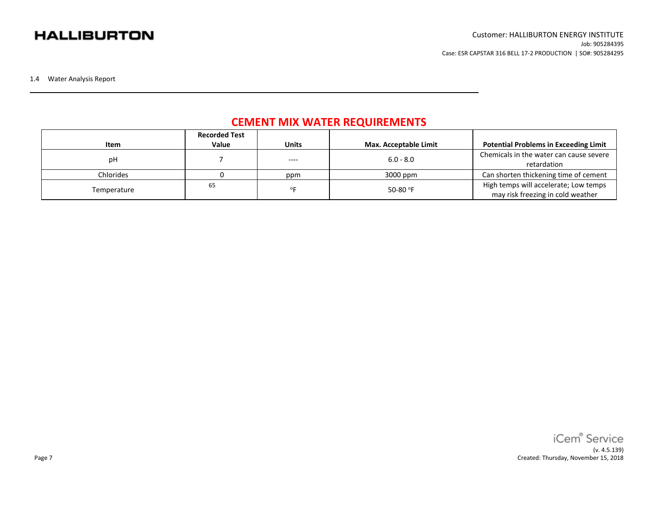1.4 Water Analysis Report

## **CEMENT MIX WATER REQUIREMENTS**

|             | <b>Recorded Test</b> |              |                       |                                              |
|-------------|----------------------|--------------|-----------------------|----------------------------------------------|
| Item        | Value                | <b>Units</b> | Max. Acceptable Limit | <b>Potential Problems in Exceeding Limit</b> |
|             |                      |              | $6.0 - 8.0$           | Chemicals in the water can cause severe      |
| рH          |                      | $---$        |                       | retardation                                  |
| Chlorides   |                      | ppm          | 3000 ppm              | Can shorten thickening time of cement        |
| Temperature | 65                   | OΕ           | 50-80 $^{\circ}$ F    | High temps will accelerate; Low temps        |
|             |                      |              |                       | may risk freezing in cold weather            |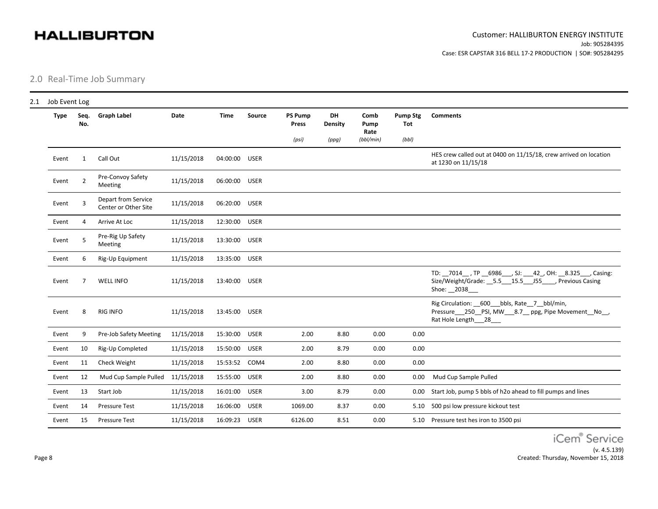2.0 Real-Time Job Summary

| Job Event Log |                |                                             |            |               |             |                         |               |                      |                               |                                                                                                                                    |
|---------------|----------------|---------------------------------------------|------------|---------------|-------------|-------------------------|---------------|----------------------|-------------------------------|------------------------------------------------------------------------------------------------------------------------------------|
| <b>Type</b>   | Seq.<br>No.    | <b>Graph Label</b>                          | Date       | <b>Time</b>   | Source      | <b>PS Pump</b><br>Press | DH<br>Density | Comb<br>Pump<br>Rate | <b>Pump Stg</b><br><b>Tot</b> | <b>Comments</b>                                                                                                                    |
|               |                |                                             |            |               |             | (psi)                   | (ppg)         | $(bb$ l/min)         | (bbl)                         |                                                                                                                                    |
| Event         | $\mathbf{1}$   | Call Out                                    | 11/15/2018 | 04:00:00      | <b>USER</b> |                         |               |                      |                               | HES crew called out at 0400 on 11/15/18, crew arrived on location<br>at 1230 on 11/15/18                                           |
| Event         | $\overline{2}$ | Pre-Convoy Safety<br>Meeting                | 11/15/2018 | 06:00:00      | <b>USER</b> |                         |               |                      |                               |                                                                                                                                    |
| Event         |                | Depart from Service<br>Center or Other Site | 11/15/2018 | 06:20:00      | <b>USER</b> |                         |               |                      |                               |                                                                                                                                    |
| Event         | 4              | Arrive At Loc                               | 11/15/2018 | 12:30:00      | <b>USER</b> |                         |               |                      |                               |                                                                                                                                    |
| Event         | 5              | Pre-Rig Up Safety<br>Meeting                | 11/15/2018 | 13:30:00      | <b>USER</b> |                         |               |                      |                               |                                                                                                                                    |
| Event         | 6              | Rig-Up Equipment                            | 11/15/2018 | 13:35:00      | <b>USER</b> |                         |               |                      |                               |                                                                                                                                    |
| Event         | 7              | <b>WELL INFO</b>                            | 11/15/2018 | 13:40:00      | <b>USER</b> |                         |               |                      |                               | TD: _7014_, TP _6986__, SJ: __42_, OH: __8.325__, Casing:<br>Size/Weight/Grade: 5.5 15.5 J55 , Previous Casing<br>Shoe: __ 2038___ |
| Event         | 8              | <b>RIG INFO</b>                             | 11/15/2018 | 13:45:00      | <b>USER</b> |                         |               |                      |                               | Rig Circulation: 600 bbls, Rate 7 bbl/min,<br>Pressure___250__PSI, MW___8.7__ ppg, Pipe Movement_No__,<br>Rat Hole Length___28___  |
| Event         | 9              | Pre-Job Safety Meeting                      | 11/15/2018 | 15:30:00 USER |             | 2.00                    | 8.80          | 0.00                 | 0.00                          |                                                                                                                                    |
| Event         | 10             | Rig-Up Completed                            | 11/15/2018 | 15:50:00      | <b>USER</b> | 2.00                    | 8.79          | 0.00                 | 0.00                          |                                                                                                                                    |
| Event         | 11             | Check Weight                                | 11/15/2018 | 15:53:52      | COM4        | 2.00                    | 8.80          | 0.00                 | 0.00                          |                                                                                                                                    |
| Event         | 12             | Mud Cup Sample Pulled                       | 11/15/2018 | 15:55:00      | <b>USER</b> | 2.00                    | 8.80          | 0.00                 | 0.00                          | Mud Cup Sample Pulled                                                                                                              |
| Event         | 13             | Start Job                                   | 11/15/2018 | 16:01:00      | <b>USER</b> | 3.00                    | 8.79          | 0.00                 | 0.00                          | Start Job, pump 5 bbls of h2o ahead to fill pumps and lines                                                                        |
| Event         | 14             | <b>Pressure Test</b>                        | 11/15/2018 | 16:06:00      | <b>USER</b> | 1069.00                 | 8.37          | 0.00                 |                               | 5.10 500 psi low pressure kickout test                                                                                             |
| Event         | 15             | <b>Pressure Test</b>                        | 11/15/2018 | 16:09:23      | <b>USER</b> | 6126.00                 | 8.51          | 0.00                 |                               | 5.10 Pressure test hes iron to 3500 psi                                                                                            |

iCem® Service (v. 4.5.139) Created: Thursday, November 15, 2018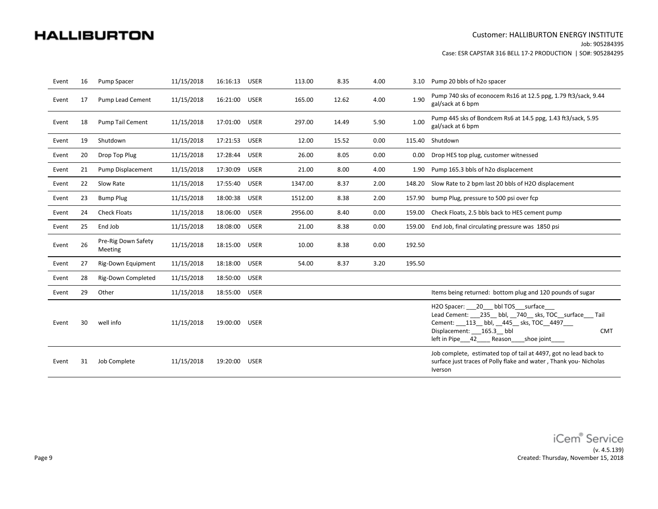#### Customer: HALLIBURTON ENERGY INSTITUTE Job: 905284395

Case: ESR CAPSTAR 316 BELL 17-2 PRODUCTION | SO#: 905284295

| Event | 16 | Pump Spacer                    | 11/15/2018 | 16:16:13      | <b>USER</b> | 113.00  | 8.35  | 4.00 | 3.10   | Pump 20 bbls of h2o spacer                                                                                                                                                                                            |
|-------|----|--------------------------------|------------|---------------|-------------|---------|-------|------|--------|-----------------------------------------------------------------------------------------------------------------------------------------------------------------------------------------------------------------------|
| Event | 17 | Pump Lead Cement               | 11/15/2018 | 16:21:00      | <b>USER</b> | 165.00  | 12.62 | 4.00 | 1.90   | Pump 740 sks of econocem Rs16 at 12.5 ppg, 1.79 ft3/sack, 9.44<br>gal/sack at 6 bpm                                                                                                                                   |
| Event | 18 | Pump Tail Cement               | 11/15/2018 | 17:01:00      | <b>USER</b> | 297.00  | 14.49 | 5.90 | 1.00   | Pump 445 sks of Bondcem Rs6 at 14.5 ppg, 1.43 ft3/sack, 5.95<br>gal/sack at 6 bpm                                                                                                                                     |
| Event | 19 | Shutdown                       | 11/15/2018 | 17:21:53      | <b>USER</b> | 12.00   | 15.52 | 0.00 |        | 115.40 Shutdown                                                                                                                                                                                                       |
| Event | 20 | Drop Top Plug                  | 11/15/2018 | 17:28:44      | <b>USER</b> | 26.00   | 8.05  | 0.00 | 0.00   | Drop HES top plug, customer witnessed                                                                                                                                                                                 |
| Event | 21 | Pump Displacement              | 11/15/2018 | 17:30:09      | <b>USER</b> | 21.00   | 8.00  | 4.00 | 1.90   | Pump 165.3 bbls of h2o displacement                                                                                                                                                                                   |
| Event | 22 | Slow Rate                      | 11/15/2018 | 17:55:40      | <b>USER</b> | 1347.00 | 8.37  | 2.00 | 148.20 | Slow Rate to 2 bpm last 20 bbls of H2O displacement                                                                                                                                                                   |
| Event | 23 | <b>Bump Plug</b>               | 11/15/2018 | 18:00:38      | <b>USER</b> | 1512.00 | 8.38  | 2.00 | 157.90 | bump Plug, pressure to 500 psi over fcp                                                                                                                                                                               |
| Event | 24 | <b>Check Floats</b>            | 11/15/2018 | 18:06:00      | <b>USER</b> | 2956.00 | 8.40  | 0.00 | 159.00 | Check Floats, 2.5 bbls back to HES cement pump                                                                                                                                                                        |
| Event | 25 | End Job                        | 11/15/2018 | 18:08:00      | <b>USER</b> | 21.00   | 8.38  | 0.00 | 159.00 | End Job, final circulating pressure was 1850 psi                                                                                                                                                                      |
| Event | 26 | Pre-Rig Down Safety<br>Meeting | 11/15/2018 | 18:15:00      | <b>USER</b> | 10.00   | 8.38  | 0.00 | 192.50 |                                                                                                                                                                                                                       |
| Event | 27 | <b>Rig-Down Equipment</b>      | 11/15/2018 | 18:18:00      | <b>USER</b> | 54.00   | 8.37  | 3.20 | 195.50 |                                                                                                                                                                                                                       |
| Event | 28 | <b>Rig-Down Completed</b>      | 11/15/2018 | 18:50:00      | <b>USER</b> |         |       |      |        |                                                                                                                                                                                                                       |
| Event | 29 | Other                          | 11/15/2018 | 18:55:00 USER |             |         |       |      |        | Items being returned: bottom plug and 120 pounds of sugar                                                                                                                                                             |
| Event | 30 | well info                      | 11/15/2018 | 19:00:00      | <b>USER</b> |         |       |      |        | H2O Spacer: 20 bbl TOS surface<br>Lead Cement: 235 bbl, 740 sks, TOC surface Tail<br>Cement: ___ 113__ bbl, __ 445__ sks, TOC__ 4497___<br>Displacement: 165.3 bbl<br><b>CMT</b><br>left in Pipe 42 Reason shoe joint |
| Event | 31 | Job Complete                   | 11/15/2018 | 19:20:00      | <b>USER</b> |         |       |      |        | Job complete, estimated top of tail at 4497, got no lead back to<br>surface just traces of Polly flake and water, Thank you-Nicholas<br>Iverson                                                                       |

iCem® Service (v. 4.5.139) Created: Thursday, November 15, 2018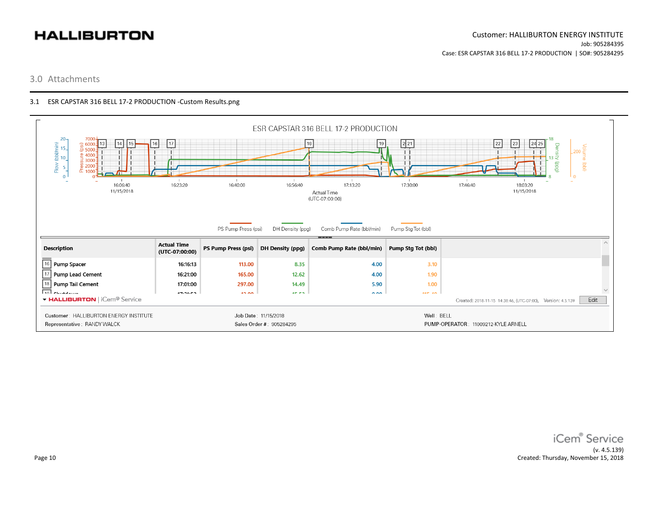#### 3.0 Attachments